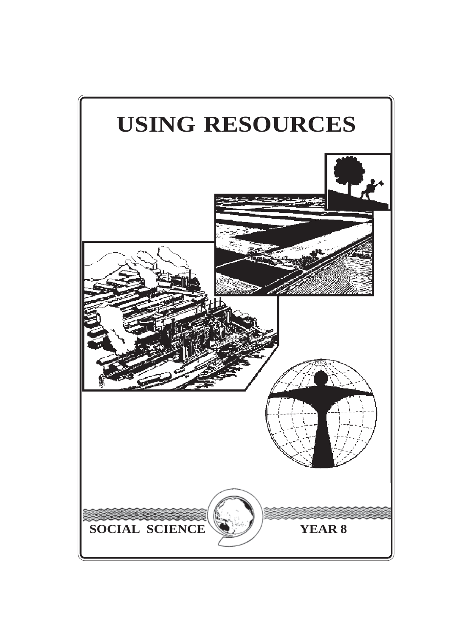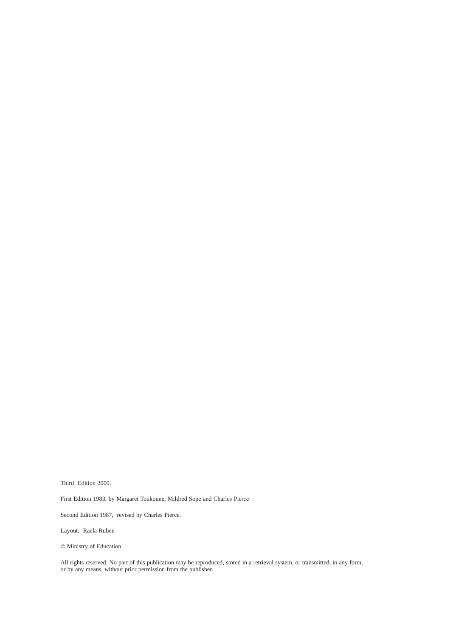Third Edition 2000.

First Edition 1983, by Margaret Toukoune, Mildred Sope and Charles Pierce

Second Edition 1987, revised by Charles Pierce.

Layout: Raela Ruben

© Ministry of Education

All rights reserved. No part of this publication may be reproduced, stored in a retrieval system, or transmitted, in any form, or by any means, without prior permission from the publisher.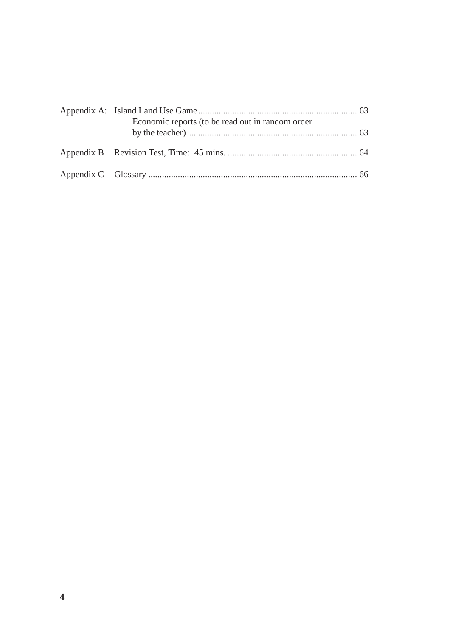| Economic reports (to be read out in random order |  |
|--------------------------------------------------|--|
|                                                  |  |
|                                                  |  |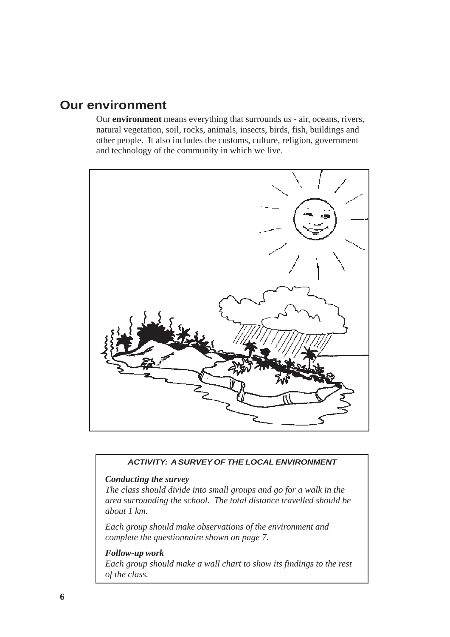# **Our environment**

Our **environment** means everything that surrounds us - air, oceans, rivers, natural vegetation, soil, rocks, animals, insects, birds, fish, buildings and other people. It also includes the customs, culture, religion, government and technology of the community in which we live.



## *ACTIVITY: A SURVEY OF THE LOCAL ENVIRONMENT*

## *Conducting the survey*

*The class should divide into small groups and go for a walk in the area surrounding the school. The total distance travelled should be about 1 km.*

*Each group should make observations of the environment and complete the questionnaire shown on page 7.*

#### *Follow-up work*

*Each group should make a wall chart to show its findings to the rest of the class.*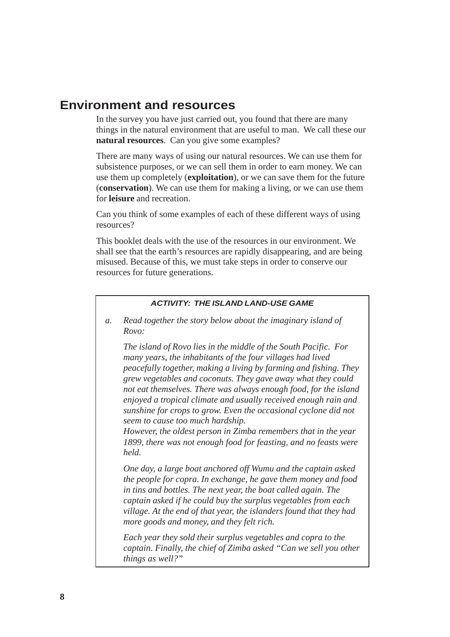# **Environment and resources**

In the survey you have just carried out, you found that there are many things in the natural environment that are useful to man. We call these our **natural resources**. Can you give some examples?

There are many ways of using our natural resources. We can use them for subsistence purposes, or we can sell them in order to earn money. We can use them up completely (**exploitation**), or we can save them for the future (**conservation**). We can use them for making a living, or we can use them for **leisure** and recreation.

Can you think of some examples of each of these different ways of using resources?

This booklet deals with the use of the resources in our environment. We shall see that the earth's resources are rapidly disappearing, and are being misused. Because of this, we must take steps in order to conserve our resources for future generations.

## *ACTIVITY: THE ISLAND LAND-USE GAME*

*a. Read together the story below about the imaginary island of Rovo:*

*The island of Rovo lies in the middle of the South Pacific. For many years, the inhabitants of the four villages had lived peacefully together, making a living by farming and fishing. They grew vegetables and coconuts. They gave away what they could not eat themselves. There was always enough food, for the island enjoyed a tropical climate and usually received enough rain and sunshine for crops to grow. Even the occasional cyclone did not seem to cause too much hardship.*

*However, the oldest person in Zimba remembers that in the year 1899, there was not enough food for feasting, and no feasts were held.*

*One day, a large boat anchored off Wumu and the captain asked the people for copra. In exchange, he gave them money and food in tins and bottles. The next year, the boat called again. The captain asked if he could buy the surplus vegetables from each village. At the end of that year, the islanders found that they had more goods and money, and they felt rich.*

*Each year they sold their surplus vegetables and copra to the captain. Finally, the chief of Zimba asked "Can we sell you other things as well?"*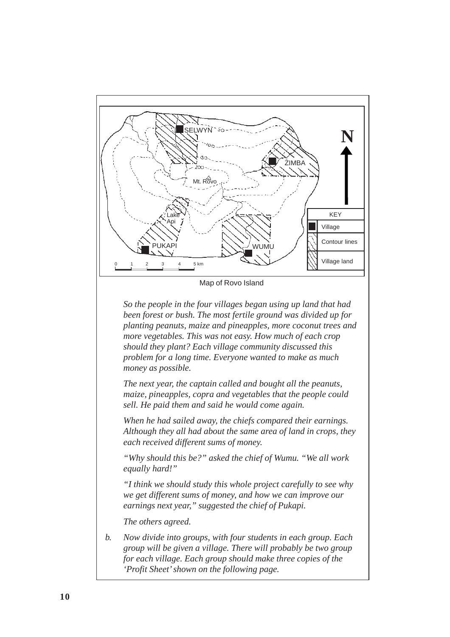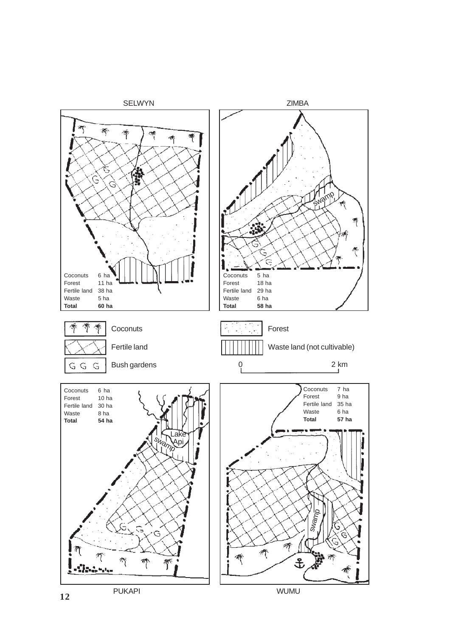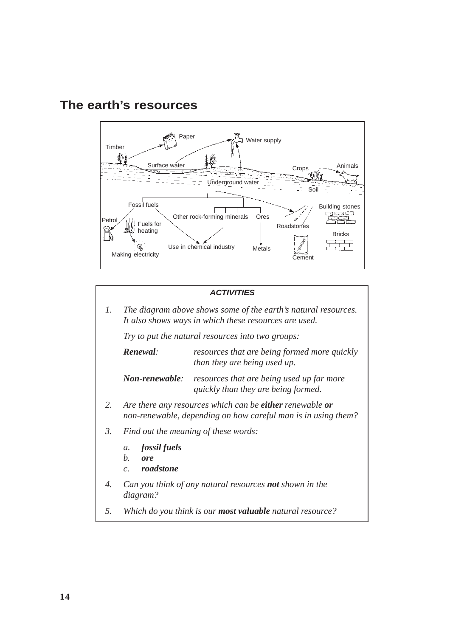

# **The earth's resources**

#### *ACTIVITIES*

*1. The diagram above shows some of the earth's natural resources. It also shows ways in which these resources are used.*

*Try to put the natural resources into two groups:*

*Renewal: resources that are being formed more quickly than they are being used up.*

*Non-renewable: resources that are being used up far more quickly than they are being formed.*

- *2. Are there any resources which can be either renewable or non-renewable, depending on how careful man is in using them?*
- *3. Find out the meaning of these words:*
	- *a. fossil fuels*
	- *b. ore*
	- *c. roadstone*
- *4. Can you think of any natural resources not shown in the diagram?*
- *5. Which do you think is our most valuable natural resource?*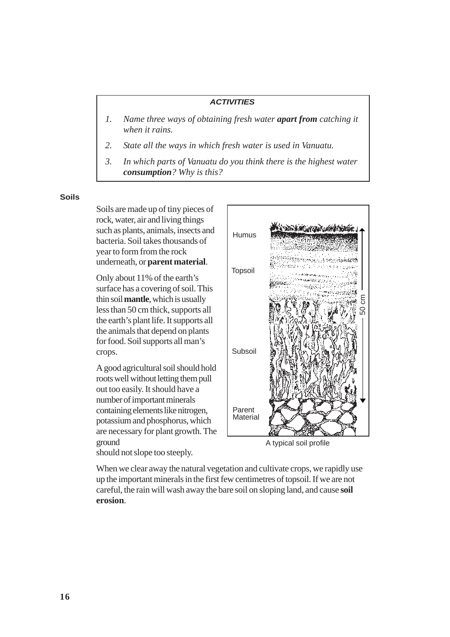- *1. Name three ways of obtaining fresh water apart from catching it when it rains.*
- *2. State all the ways in which fresh water is used in Vanuatu.*
- *3. In which parts of Vanuatu do you think there is the highest water consumption? Why is this?*

#### **Soils**

Soils are made up of tiny pieces of rock, water, air and living things such as plants, animals, insects and bacteria. Soil takes thousands of year to form from the rock underneath, or **parent material**.

Only about 11% of the earth's surface has a covering of soil. This thin soil **mantle**, which is usually less than 50 cm thick, supports all the earth's plant life. It supports all the animals that depend on plants for food. Soil supports all man's crops.

A good agricultural soil should hold roots well without letting them pull out too easily. It should have a number of important minerals containing elements like nitrogen, potassium and phosphorus, which are necessary for plant growth. The ground should not slope too steeply.

**SON EXECUTIVE Humus** челаннымед Topsoil 50 cmSubsoil Parent **Material** 

A typical soil profile

When we clear away the natural vegetation and cultivate crops, we rapidly use up the important minerals in the first few centimetres of topsoil. If we are not careful, the rain will wash away the bare soil on sloping land, and cause **soil erosion**.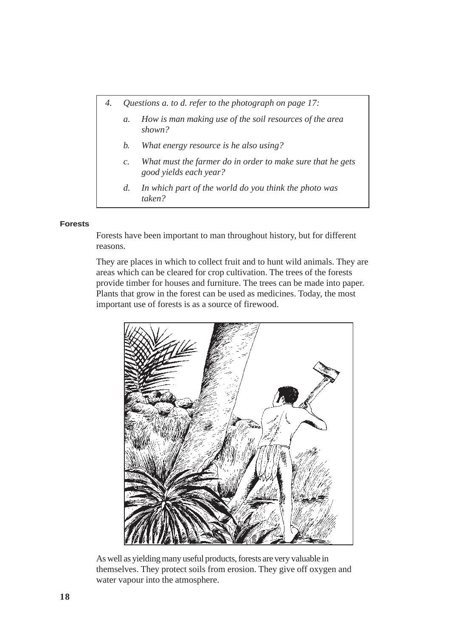- *4. Questions a. to d. refer to the photograph on page 17:*
	- *a. How is man making use of the soil resources of the area shown?*
	- *b. What energy resource is he also using?*
	- *c. What must the farmer do in order to make sure that he gets good yields each year?*
	- *d. In which part of the world do you think the photo was taken?*

#### **Forests**

Forests have been important to man throughout history, but for different reasons.

They are places in which to collect fruit and to hunt wild animals. They are areas which can be cleared for crop cultivation. The trees of the forests provide timber for houses and furniture. The trees can be made into paper. Plants that grow in the forest can be used as medicines. Today, the most important use of forests is as a source of firewood.



As well as yielding many useful products, forests are very valuable in themselves. They protect soils from erosion. They give off oxygen and water vapour into the atmosphere.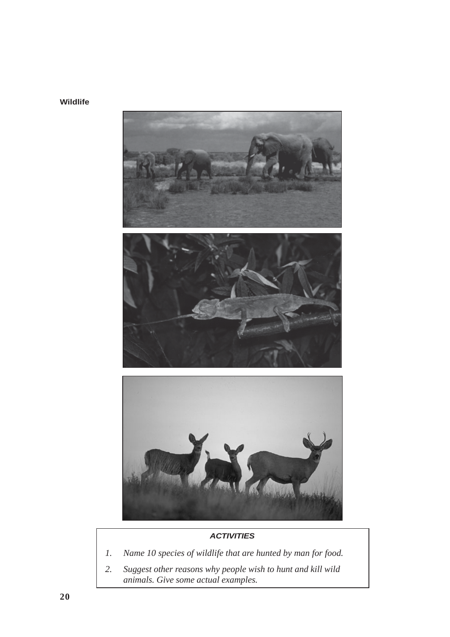



- *1. Name 10 species of wildlife that are hunted by man for food.*
- *2. Suggest other reasons why people wish to hunt and kill wild animals. Give some actual examples.*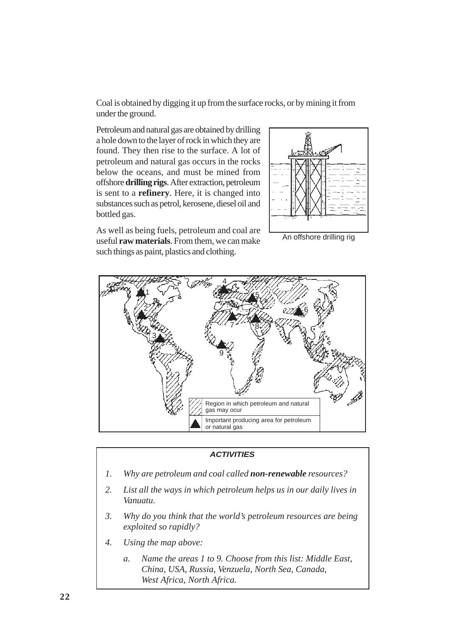Coal is obtained by digging it up from the surface rocks, or by mining it from under the ground.

Petroleum and natural gas are obtained by drilling a hole down to the layer of rock in which they are found. They then rise to the surface. A lot of petroleum and natural gas occurs in the rocks below the oceans, and must be mined from offshore **drilling rigs**. After extraction, petroleum is sent to a **refinery**. Here, it is changed into substances such as petrol, kerosene, diesel oil and bottled gas.

As well as being fuels, petroleum and coal are useful **raw materials**. From them, we can make such things as paint, plastics and clothing.

An offshore drilling rig



#### *ACTIVITIES*

- *1. Why are petroleum and coal called non-renewable resources?*
- *2. List all the ways in which petroleum helps us in our daily lives in Vanuatu.*
- *3. Why do you think that the world's petroleum resources are being exploited so rapidly?*
- *4. Using the map above:*
	- *a. Name the areas 1 to 9. Choose from this list: Middle East, China, USA, Russia, Venzuela, North Sea, Canada, West Africa, North Africa.*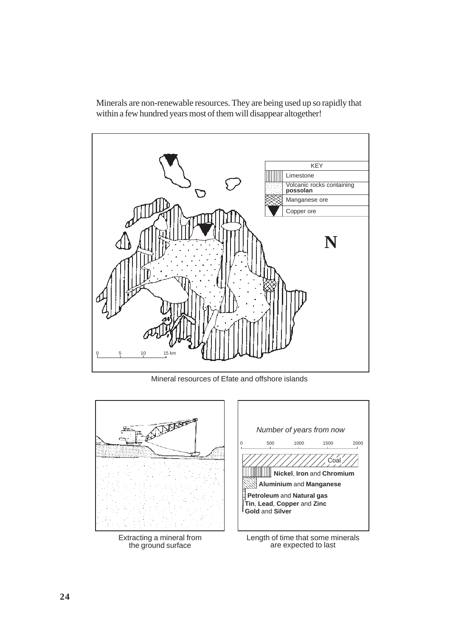

Minerals are non-renewable resources. They are being used up so rapidly that within a few hundred years most of them will disappear altogether!

Mineral resources of Efate and offshore islands

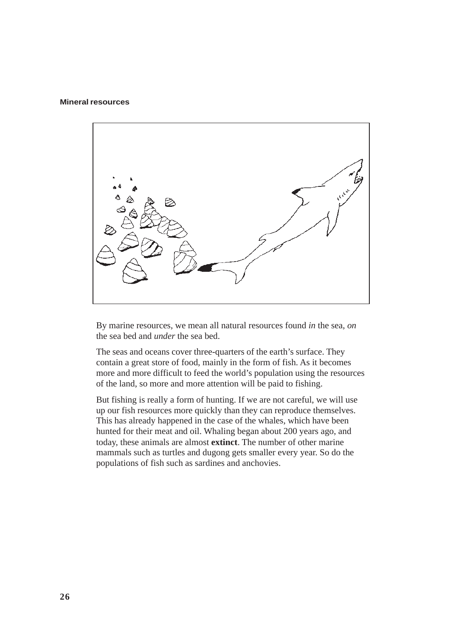#### **Mineral resources**



By marine resources, we mean all natural resources found *in* the sea, *on* the sea bed and *under* the sea bed.

The seas and oceans cover three-quarters of the earth's surface. They contain a great store of food, mainly in the form of fish. As it becomes more and more difficult to feed the world's population using the resources of the land, so more and more attention will be paid to fishing.

But fishing is really a form of hunting. If we are not careful, we will use up our fish resources more quickly than they can reproduce themselves. This has already happened in the case of the whales, which have been hunted for their meat and oil. Whaling began about 200 years ago, and today, these animals are almost **extinct**. The number of other marine mammals such as turtles and dugong gets smaller every year. So do the populations of fish such as sardines and anchovies.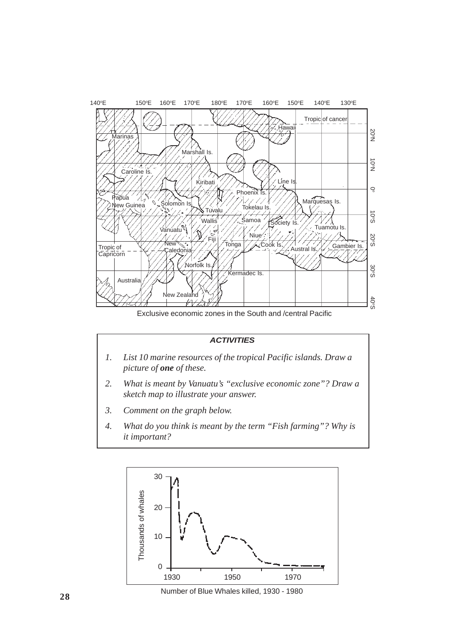

Exclusive economic zones in the South and /central Pacific

- *1. List 10 marine resources of the tropical Pacific islands. Draw a picture of one of these.*
- *2. What is meant by Vanuatu's "exclusive economic zone"? Draw a sketch map to illustrate your answer.*
- *3. Comment on the graph below.*
- *4. What do you think is meant by the term "Fish farming"? Why is it important?*



Number of Blue Whales killed, 1930 - 1980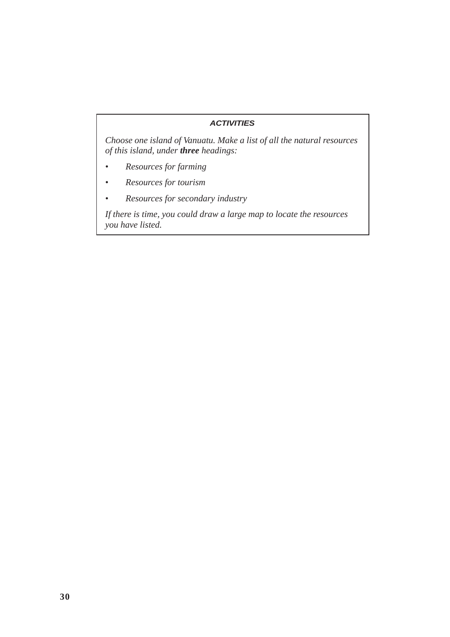*Choose one island of Vanuatu. Make a list of all the natural resources of this island, under three headings:*

- *Resources for farming*
- *Resources for tourism*
- *Resources for secondary industry*

*If there is time, you could draw a large map to locate the resources you have listed.*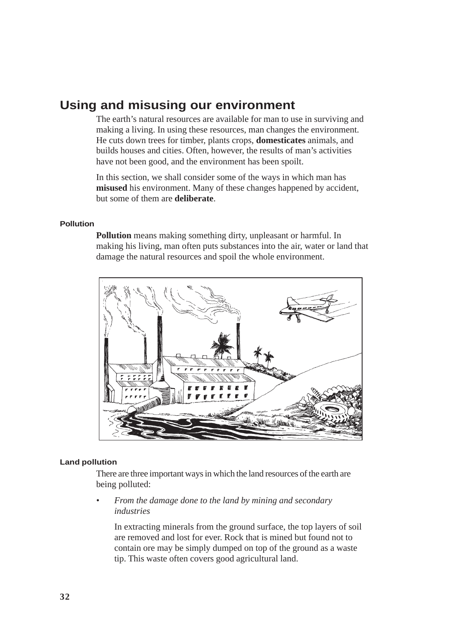# **Using and misusing our environment**

The earth's natural resources are available for man to use in surviving and making a living. In using these resources, man changes the environment. He cuts down trees for timber, plants crops, **domesticates** animals, and builds houses and cities. Often, however, the results of man's activities have not been good, and the environment has been spoilt.

In this section, we shall consider some of the ways in which man has **misused** his environment. Many of these changes happened by accident, but some of them are **deliberate**.

#### **Pollution**

**Pollution** means making something dirty, unpleasant or harmful. In making his living, man often puts substances into the air, water or land that damage the natural resources and spoil the whole environment.



#### **Land pollution**

There are three important ways in which the land resources of the earth are being polluted:

*• From the damage done to the land by mining and secondary industries*

In extracting minerals from the ground surface, the top layers of soil are removed and lost for ever. Rock that is mined but found not to contain ore may be simply dumped on top of the ground as a waste tip. This waste often covers good agricultural land.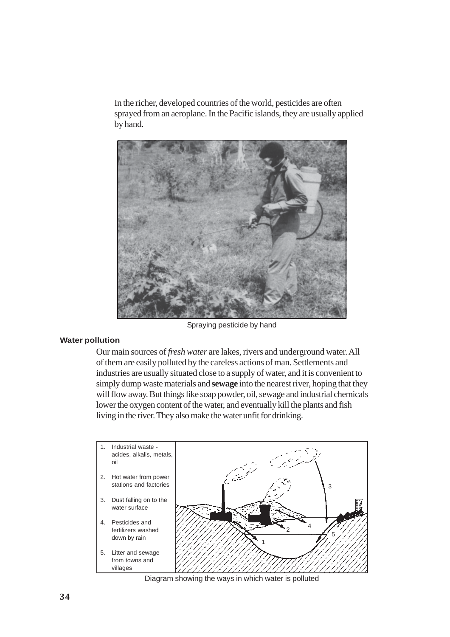In the richer, developed countries of the world, pesticides are often sprayed from an aeroplane. In the Pacific islands, they are usually applied by hand.



Spraying pesticide by hand

#### **Water pollution**

Our main sources of *fresh water* are lakes, rivers and underground water. All of them are easily polluted by the careless actions of man. Settlements and industries are usually situated close to a supply of water, and it is convenient to simply dump waste materials and **sewage** into the nearest river, hoping that they will flow away. But things like soap powder, oil, sewage and industrial chemicals lower the oxygen content of the water, and eventually kill the plants and fish living in the river. They also make the water unfit for drinking.



Diagram showing the ways in which water is polluted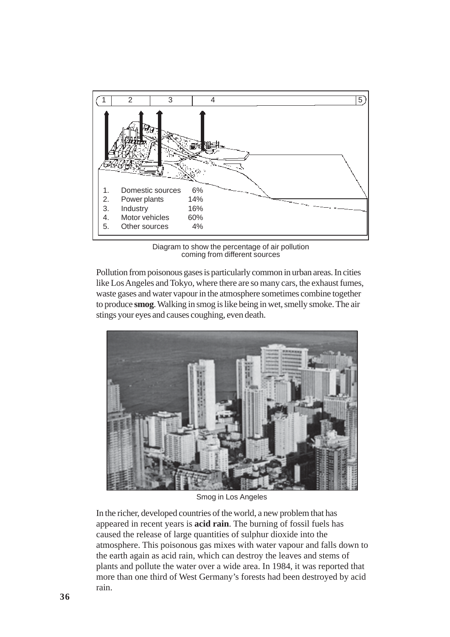

Diagram to show the percentage of air pollution coming from different sources

Pollution from poisonous gases is particularly common in urban areas. In cities like Los Angeles and Tokyo, where there are so many cars, the exhaust fumes, waste gases and water vapour in the atmosphere sometimes combine together to produce **smog**. Walking in smog is like being in wet, smelly smoke. The air stings your eyes and causes coughing, even death.



Smog in Los Angeles

In the richer, developed countries of the world, a new problem that has appeared in recent years is **acid rain**. The burning of fossil fuels has caused the release of large quantities of sulphur dioxide into the atmosphere. This poisonous gas mixes with water vapour and falls down to the earth again as acid rain, which can destroy the leaves and stems of plants and pollute the water over a wide area. In 1984, it was reported that more than one third of West Germany's forests had been destroyed by acid rain.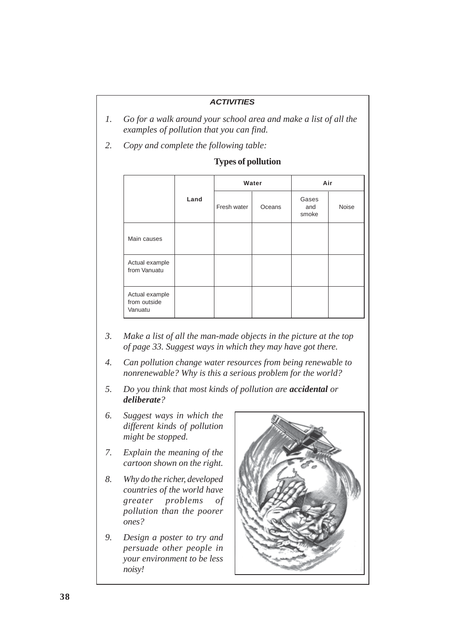- *1. Go for a walk around your school area and make a list of all the examples of pollution that you can find.*
- *2. Copy and complete the following table:*

|                                           |      |             | Water  | Air                   |       |  |  |  |
|-------------------------------------------|------|-------------|--------|-----------------------|-------|--|--|--|
|                                           | Land | Fresh water | Oceans | Gases<br>and<br>smoke | Noise |  |  |  |
| Main causes                               |      |             |        |                       |       |  |  |  |
| Actual example<br>from Vanuatu            |      |             |        |                       |       |  |  |  |
| Actual example<br>from outside<br>Vanuatu |      |             |        |                       |       |  |  |  |

## **Types of pollution**

- *3. Make a list of all the man-made objects in the picture at the top of page 33. Suggest ways in which they may have got there.*
- *4. Can pollution change water resources from being renewable to nonrenewable? Why is this a serious problem for the world?*
- *5. Do you think that most kinds of pollution are accidental or deliberate?*
- *6. Suggest ways in which the different kinds of pollution might be stopped.*
- *7. Explain the meaning of the cartoon shown on the right.*
- *8. Why do the richer, developed countries of the world have greater problems of pollution than the poorer ones?*
- *9. Design a poster to try and persuade other people in your environment to be less noisy!*

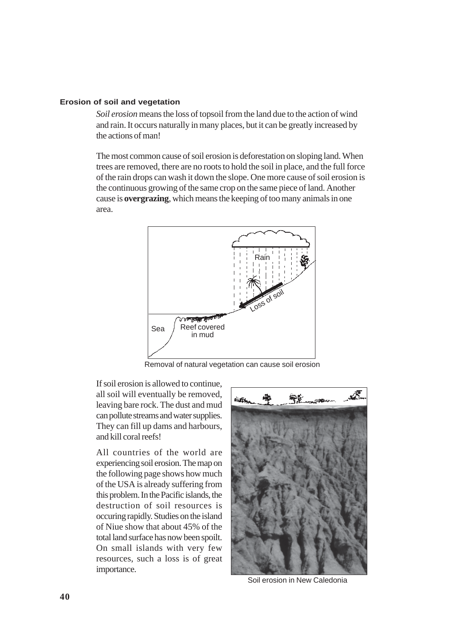#### **Erosion of soil and vegetation**

*Soil erosion* means the loss of topsoil from the land due to the action of wind and rain. It occurs naturally in many places, but it can be greatly increased by the actions of man!

The most common cause of soil erosion is deforestation on sloping land. When trees are removed, there are no roots to hold the soil in place, and the full force of the rain drops can wash it down the slope. One more cause of soil erosion is the continuous growing of the same crop on the same piece of land. Another cause is **overgrazing**, which means the keeping of too many animals in one area.



Removal of natural vegetation can cause soil erosion

If soil erosion is allowed to continue, all soil will eventually be removed, leaving bare rock. The dust and mud can pollute streams and water supplies. They can fill up dams and harbours, and kill coral reefs!

All countries of the world are experiencing soil erosion. The map on the following page shows how much of the USA is already suffering from this problem. In the Pacific islands, the destruction of soil resources is occuring rapidly. Studies on the island of Niue show that about 45% of the total land surface has now been spoilt. On small islands with very few resources, such a loss is of great importance.



Soil erosion in New Caledonia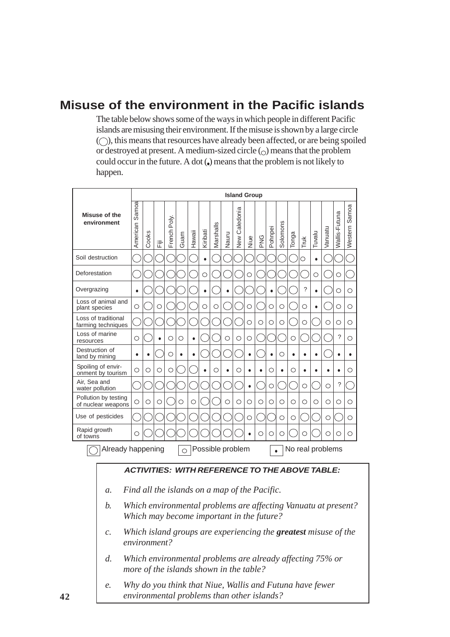# **Misuse of the environment in the Pacific islands**

The table below shows some of the ways in which people in different Pacific islands are misusing their environment. If the misuse is shown by a large circle  $(\bigcirc)$ , this means that resources have already been affected, or are being spoiled or destroyed at present. A medium-sized circle  $\circ$  means that the problem could occur in the future. A dot  $\ddot{\bullet}$  means that the problem is not likely to happen.

|                                                                         | <b>Island Group</b>                                                                                               |       |   |             |      |           |           |           |           |                         |           |     |         |           |       |           |           |                                                       |               |                  |
|-------------------------------------------------------------------------|-------------------------------------------------------------------------------------------------------------------|-------|---|-------------|------|-----------|-----------|-----------|-----------|-------------------------|-----------|-----|---------|-----------|-------|-----------|-----------|-------------------------------------------------------|---------------|------------------|
| Misuse of the<br>environment                                            | Samoa<br>American                                                                                                 | Cooks | 定 | French Poly | Guam | Hawaii    | Kiribati  | Marshalls | Nauru     | Caledonia<br><b>New</b> | Niue      | PNG | Pohnpei | Solomons  | Tonga | Truk      | Tuvalu    | Vanuatu                                               | Wallis-Futuna | Samoa<br>Western |
| Soil destruction                                                        |                                                                                                                   |       |   |             |      |           | $\bullet$ |           |           |                         |           |     |         |           |       | O         | $\bullet$ |                                                       |               |                  |
| Deforestation                                                           |                                                                                                                   |       |   |             |      |           | O         |           |           |                         | O         |     |         |           |       |           | О         |                                                       | О             |                  |
| Overgrazing                                                             | $\bullet$                                                                                                         |       |   |             |      |           | $\bullet$ |           |           |                         |           |     |         |           |       | ?         | ٠         |                                                       | O             | $\circ$          |
| Loss of animal and<br>plant species                                     | О                                                                                                                 |       | О |             |      |           | О         | О         |           |                         | О         |     | О       | O         |       | О         | $\bullet$ |                                                       | O             | О                |
| Loss of traditional<br>farming techniques                               |                                                                                                                   |       |   |             |      |           |           |           |           |                         | O         | O   | O       | $\circ$   |       | $\circ$   |           | O                                                     | $\circ$       | $\circ$          |
| Loss of marine<br>resources                                             | O                                                                                                                 |       |   | O           | О    | $\bullet$ |           |           | О         | О                       | О         |     |         |           | О     |           |           |                                                       | ?             | О                |
| Destruction of<br>land by mining                                        | ٠                                                                                                                 |       |   | $\circ$     |      | $\bullet$ |           |           |           |                         | $\bullet$ |     |         | О         | ٠     |           |           |                                                       |               | $\bullet$        |
| Spoiling of envir-<br>onment by tourism                                 | О                                                                                                                 | O     | О | O           |      |           | $\bullet$ | ∩         | $\bullet$ | О                       | $\bullet$ |     | О       | $\bullet$ | О     | $\bullet$ |           | ٠                                                     | $\bullet$     | О                |
| Air. Sea and<br>water pollution                                         |                                                                                                                   |       |   |             |      |           |           |           |           |                         | $\bullet$ |     | O       |           |       | $\circ$   |           | $\circ$                                               | ?             |                  |
| Pollution by testing<br>of nuclear weapons                              | О                                                                                                                 | O     | О |             | О    | О         |           |           | О         | О                       | О         | O   | O       | $\circ$   | О     | O         | О         | O                                                     | О             | О                |
| Use of pesticides                                                       |                                                                                                                   |       |   |             |      |           |           |           |           |                         | O         |     |         | $\circ$   | О     |           |           | О                                                     |               | O                |
| Rapid growth<br>of towns                                                | ∩                                                                                                                 |       |   |             |      |           |           |           |           |                         |           | О   | ∩       | О         |       | ∩         |           | ∩                                                     | ∩             | О                |
| Already happening<br>Possible problem<br>No real problems<br>$\bigcirc$ |                                                                                                                   |       |   |             |      |           |           |           |           |                         |           |     |         |           |       |           |           |                                                       |               |                  |
|                                                                         |                                                                                                                   |       |   |             |      |           |           |           |           |                         |           |     |         |           |       |           |           | <b>ACTIVITIES: WITH REFERENCE TO THE ABOVE TABLE:</b> |               |                  |
|                                                                         |                                                                                                                   |       |   |             |      |           |           |           |           |                         |           |     |         |           |       |           |           |                                                       |               |                  |
|                                                                         | Find all the islands on a map of the Pacific.<br>а.                                                               |       |   |             |      |           |           |           |           |                         |           |     |         |           |       |           |           |                                                       |               |                  |
|                                                                         | Which environmental problems are affecting Vanuatu at present?<br>b.<br>Which may become important in the future? |       |   |             |      |           |           |           |           |                         |           |     |         |           |       |           |           |                                                       |               |                  |
| $\mathcal{C}$ .                                                         | Which island groups are experiencing the <b>greatest</b> misuse of the<br>environment?                            |       |   |             |      |           |           |           |           |                         |           |     |         |           |       |           |           |                                                       |               |                  |
| d.                                                                      | Which environmental problems are already affecting 75% or<br>more of the islands shown in the table?              |       |   |             |      |           |           |           |           |                         |           |     |         |           |       |           |           |                                                       |               |                  |
| е.                                                                      | Why do you think that Niue, Wallis and Futuna have fewer<br>environmental problems than other islands?            |       |   |             |      |           |           |           |           |                         |           |     |         |           |       |           |           |                                                       |               |                  |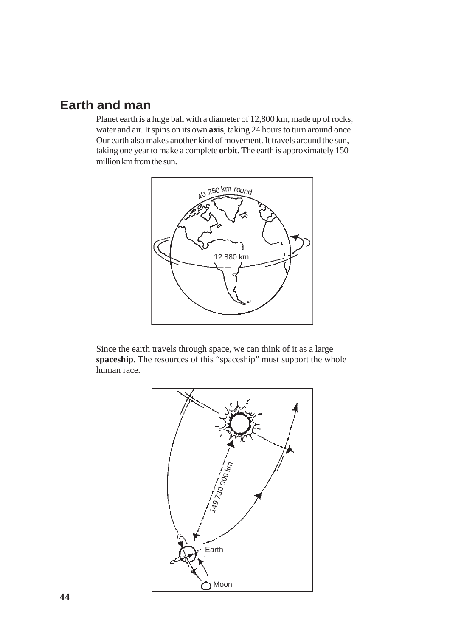# **Earth and man**

Planet earth is a huge ball with a diameter of 12,800 km, made up of rocks, water and air. It spins on its own **axis**, taking 24 hours to turn around once. Our earth also makes another kind of movement. It travels around the sun, taking one year to make a complete **orbit**. The earth is approximately 150 million km from the sun.



Since the earth travels through space, we can think of it as a large spaceship. The resources of this "spaceship" must support the whole human race.

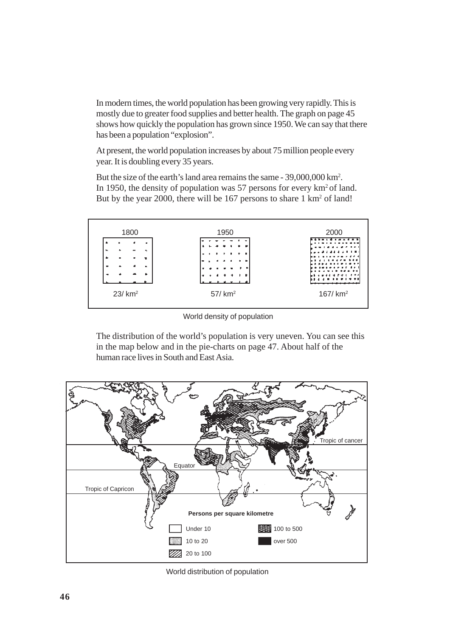In modern times, the world population has been growing very rapidly. This is mostly due to greater food supplies and better health. The graph on page 45 shows how quickly the population has grown since 1950. We can say that there has been a population "explosion".

At present, the world population increases by about 75 million people every year. It is doubling every 35 years.

But the size of the earth's land area remains the same - 39,000,000 km2 . In 1950, the density of population was 57 persons for every  $km^2$  of land. But by the year 2000, there will be 167 persons to share 1 km<sup>2</sup> of land!



World density of population

The distribution of the world's population is very uneven. You can see this in the map below and in the pie-charts on page 47. About half of the human race lives in South and East Asia.



World distribution of population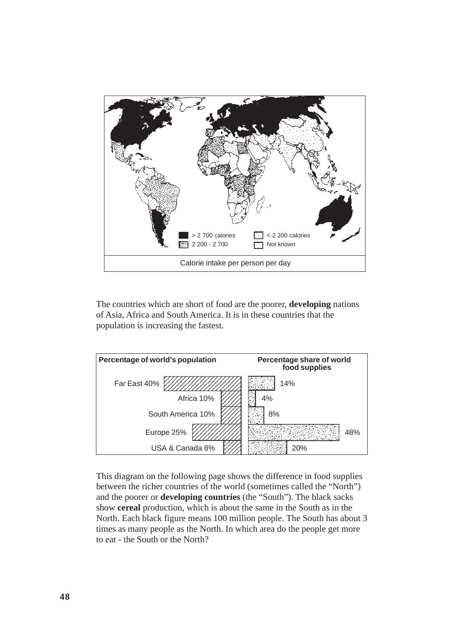

The countries which are short of food are the poorer, **developing** nations of Asia, Africa and South America. It is in these countries that the population is increasing the fastest.



This diagram on the following page shows the difference in food supplies between the richer countries of the world (sometimes called the "North") and the poorer or **developing countries** (the "South"). The black sacks show **cereal** production, which is about the same in the South as in the North. Each black figure means 100 million people. The South has about 3 times as many people as the North. In which area do the people get more to eat - the South or the North?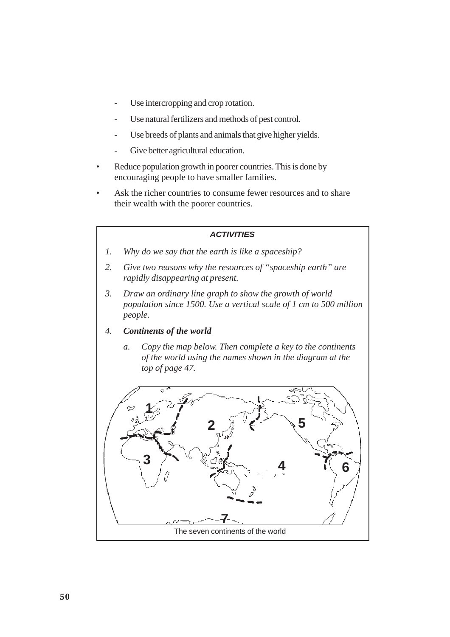- Use intercropping and crop rotation.
- Use natural fertilizers and methods of pest control.
- Use breeds of plants and animals that give higher yields.
- Give better agricultural education.
- *•* Reduce population growth in poorer countries. This is done by encouraging people to have smaller families.
- Ask the richer countries to consume fewer resources and to share their wealth with the poorer countries.

- *1. Why do we say that the earth is like a spaceship?*
- *2. Give two reasons why the resources of "spaceship earth" are rapidly disappearing at present.*
- *3. Draw an ordinary line graph to show the growth of world population since 1500. Use a vertical scale of 1 cm to 500 million people.*
- *4. Continents of the world*
	- *a. Copy the map below. Then complete a key to the continents of the world using the names shown in the diagram at the top of page 47.*

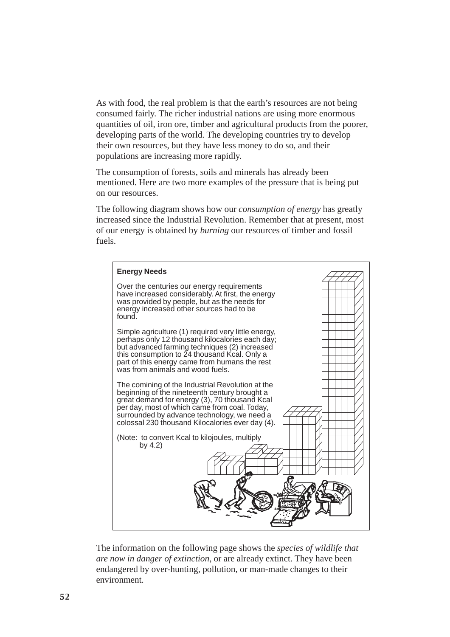As with food, the real problem is that the earth's resources are not being consumed fairly. The richer industrial nations are using more enormous quantities of oil, iron ore, timber and agricultural products from the poorer, developing parts of the world. The developing countries try to develop their own resources, but they have less money to do so, and their populations are increasing more rapidly.

The consumption of forests, soils and minerals has already been mentioned. Here are two more examples of the pressure that is being put on our resources.

The following diagram shows how our *consumption of energy* has greatly increased since the Industrial Revolution. Remember that at present, most of our energy is obtained by *burning* our resources of timber and fossil fuels.



The information on the following page shows the *species of wildlife that are now in danger of extinction*, or are already extinct. They have been endangered by over-hunting, pollution, or man-made changes to their environment.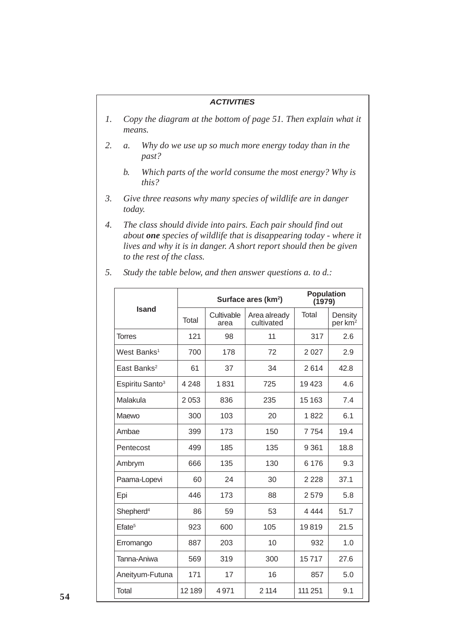- *1. Copy the diagram at the bottom of page 51. Then explain what it means.*
- *2. a. Why do we use up so much more energy today than in the past?*
	- *b. Which parts of the world consume the most energy? Why is this?*
- *3. Give three reasons why many species of wildlife are in danger today.*
- *4. The class should divide into pairs. Each pair should find out about one species of wildlife that is disappearing today - where it lives and why it is in danger. A short report should then be given to the rest of the class.*

|                             |              | Surface ares (km <sup>2</sup> ) | <b>Population</b><br>(1979) |         |                                |  |
|-----------------------------|--------------|---------------------------------|-----------------------------|---------|--------------------------------|--|
| <b>Isand</b>                | <b>Total</b> | Cultivable<br>area              | Area already<br>cultivated  | Total   | Density<br>per km <sup>2</sup> |  |
| <b>Torres</b>               | 121          | 98                              | 11                          | 317     | 2.6                            |  |
| West Banks <sup>1</sup>     | 700          | 178                             | 72                          | 2 0 2 7 | 2.9                            |  |
| East Banks <sup>2</sup>     | 61           | 37                              | 34                          | 2614    | 42.8                           |  |
| Espiritu Santo <sup>3</sup> | 4 2 4 8      | 1831                            | 725                         | 19423   | 4.6                            |  |
| Malakula                    | 2053         | 836                             | 235                         | 15 1 63 | 7.4                            |  |
| Maewo                       | 300          | 103                             | 20                          | 1822    | 6.1                            |  |
| Ambae                       | 399          | 173                             | 150                         | 7754    | 19.4                           |  |
| Pentecost                   | 499          | 185                             | 135                         | 9 3 6 1 | 18.8                           |  |
| Ambrym                      | 666          | 135                             | 130                         | 6 1 7 6 | 9.3                            |  |
| Paama-Lopevi                | 60           | 24                              | 30                          | 2 2 2 8 | 37.1                           |  |
| Epi                         | 446          | 173                             | 88                          | 2579    | 5.8                            |  |
| Shepherd <sup>4</sup>       | 86           | 59                              | 53                          | 4 4 4 4 | 51.7                           |  |
| Efate <sup>5</sup>          | 923          | 600                             | 105                         | 19819   | 21.5                           |  |
| Erromango                   | 887          | 203                             | 10                          | 932     | 1.0                            |  |
| Tanna-Aniwa                 | 569          | 319                             | 300                         | 15717   | 27.6                           |  |
| Aneityum-Futuna             | 171          | 17                              | 16                          | 857     | 5.0                            |  |
| Total                       | 12189        | 4971                            | 2 1 1 4                     | 111 251 | 9.1                            |  |

*5. Study the table below, and then answer questions a. to d.:*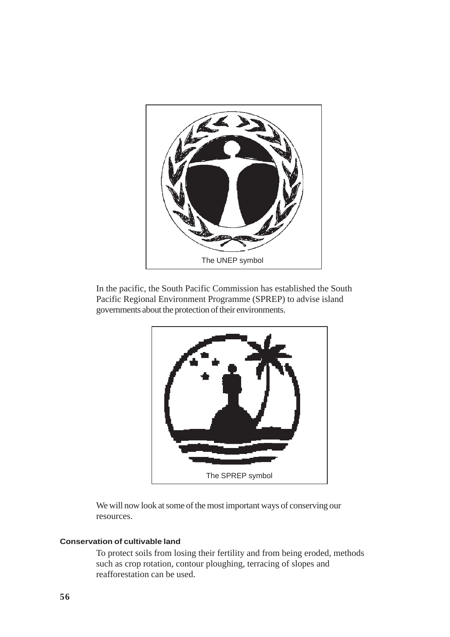

In the pacific, the South Pacific Commission has established the South Pacific Regional Environment Programme (SPREP) to advise island governments about the protection of their environments.



We will now look at some of the most important ways of conserving our resources.

#### **Conservation of cultivable land**

To protect soils from losing their fertility and from being eroded, methods such as crop rotation, contour ploughing, terracing of slopes and reafforestation can be used.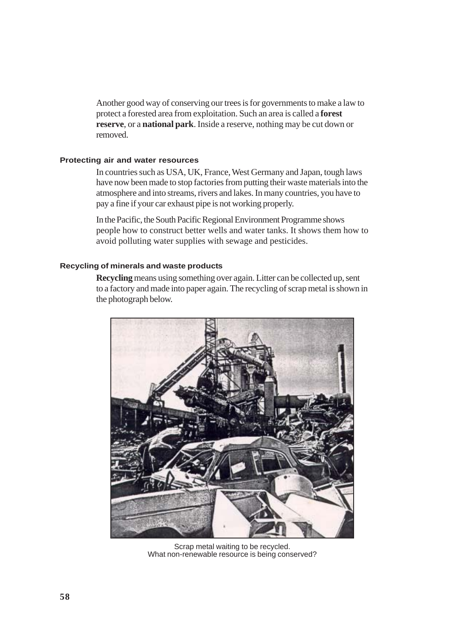Another good way of conserving our trees is for governments to make a law to protect a forested area from exploitation. Such an area is called a **forest reserve**, or a **national park**. Inside a reserve, nothing may be cut down or removed.

#### **Protecting air and water resources**

In countries such as USA, UK, France, West Germany and Japan, tough laws have now been made to stop factories from putting their waste materials into the atmosphere and into streams, rivers and lakes. In many countries, you have to pay a fine if your car exhaust pipe is not working properly.

In the Pacific, the South Pacific Regional Environment Programme shows people how to construct better wells and water tanks. It shows them how to avoid polluting water supplies with sewage and pesticides.

#### **Recycling of minerals and waste products**

**Recycling** means using something over again. Litter can be collected up, sent to a factory and made into paper again. The recycling of scrap metal is shown in the photograph below.



Scrap metal waiting to be recycled. What non-renewable resource is being conserved?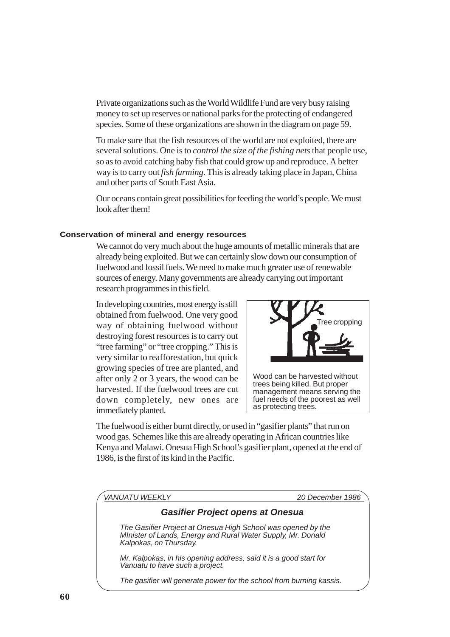Private organizations such as the World Wildlife Fund are very busy raising money to set up reserves or national parks for the protecting of endangered species. Some of these organizations are shown in the diagram on page 59.

To make sure that the fish resources of the world are not exploited, there are several solutions. One is to *control the size of the fishing nets* that people use, so as to avoid catching baby fish that could grow up and reproduce. A better way is to carry out *fish farming*. This is already taking place in Japan, China and other parts of South East Asia.

Our oceans contain great possibilities for feeding the world's people. We must look after them!

#### **Conservation of mineral and energy resources**

We cannot do very much about the huge amounts of metallic minerals that are already being exploited. But we can certainly slow down our consumption of fuelwood and fossil fuels. We need to make much greater use of renewable sources of energy. Many governments are already carrying out important research programmes in this field.

In developing countries, most energy is still obtained from fuelwood. One very good way of obtaining fuelwood without destroying forest resources is to carry out "tree farming" or "tree cropping." This is very similar to reafforestation, but quick growing species of tree are planted, and after only 2 or 3 years, the wood can be harvested. If the fuelwood trees are cut down completely, new ones are immediately planted.



Wood can be harvested without trees being killed. But proper management means serving the fuel needs of the poorest as well as protecting trees.

The fuelwood is either burnt directly, or used in "gasifier plants" that run on wood gas. Schemes like this are already operating in African countries like Kenya and Malawi. Onesua High School's gasifier plant, opened at the end of 1986, is the first of its kind in the Pacific.

*VANUATU WEEKLY 20 December 1986*

## *Gasifier Project opens at Onesua*

*The Gasifier Project at Onesua High School was opened by the MInister of Lands, Energy and Rural Water Supply, Mr. Donald Kalpokas, on Thursday.*

*Mr. Kalpokas, in his opening address, said it is a good start for Vanuatu to have such a project.*

*The gasifier will generate power for the school from burning kassis.*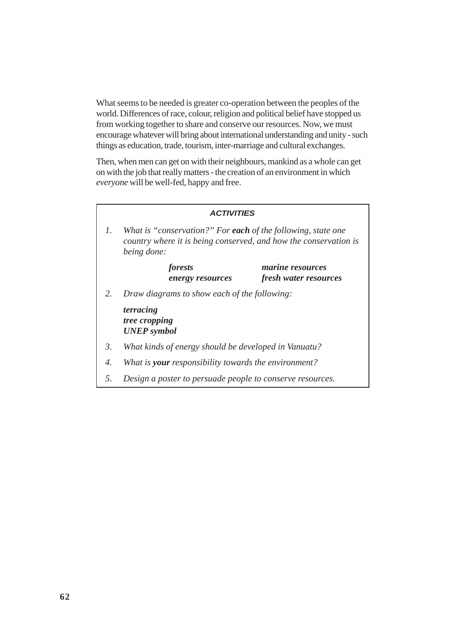What seems to be needed is greater co-operation between the peoples of the world. Differences of race, colour, religion and political belief have stopped us from working together to share and conserve our resources. Now, we must encourage whatever will bring about international understanding and unity - such things as education, trade, tourism, inter-marriage and cultural exchanges.

Then, when men can get on with their neighbours, mankind as a whole can get on with the job that really matters - the creation of an environment in which *everyone* will be well-fed, happy and free.

|                 | <b>ACTIVITIES</b>                                                                                                                               |  |  |  |  |  |  |
|-----------------|-------------------------------------------------------------------------------------------------------------------------------------------------|--|--|--|--|--|--|
| $\mathcal{I}$ . | What is "conservation?" For each of the following, state one<br>country where it is being conserved, and how the conservation is<br>being done: |  |  |  |  |  |  |
|                 | forests<br><i>marine resources</i><br><i>fresh water resources</i><br>energy resources                                                          |  |  |  |  |  |  |
| 2.              | Draw diagrams to show each of the following:                                                                                                    |  |  |  |  |  |  |
|                 | terracing<br>tree cropping<br><b>UNEP</b> symbol                                                                                                |  |  |  |  |  |  |
| 3.              | What kinds of energy should be developed in Vanuatu?                                                                                            |  |  |  |  |  |  |
| 4.              | What is <b>your</b> responsibility towards the environment?                                                                                     |  |  |  |  |  |  |
| 5.              | Design a poster to persuade people to conserve resources.                                                                                       |  |  |  |  |  |  |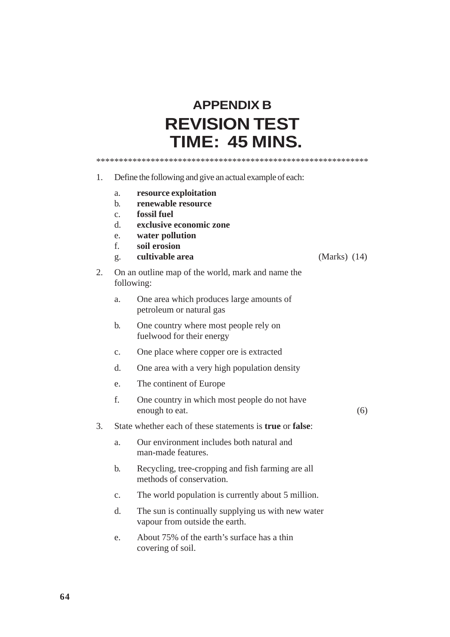# **APPENDIX B REVISION TEST TIME: 45 MINS.**

\*\*\*\*\*\*\*\*\*\*\*\*\*\*\*\*\*\*\*\*\*\*\*\*\*\*\*\*\*\*\*\*\*\*\*\*\*\*\*\*\*\*\*\*\*\*\*\*\*\*\*\*\*\*\*\*\*\*\*\*

- 1. Define the following and give an actual example of each:
	- a. **resource exploitation**
	- b. **renewable resource**
	- c. **fossil fuel**
	- d. **exclusive economic zone**
	- e. **water pollution**
	- f. **soil erosion**
	- g. **cultivable area** (Marks) (14)
- 2. On an outline map of the world, mark and name the following:
	- a. One area which produces large amounts of petroleum or natural gas
	- b. One country where most people rely on fuelwood for their energy
	- c. One place where copper ore is extracted
	- d. One area with a very high population density
	- e. The continent of Europe
	- f. One country in which most people do not have enough to eat. (6)
- 3. State whether each of these statements is **true** or **false**:
	- a. Our environment includes both natural and man-made features.
	- b. Recycling, tree-cropping and fish farming are all methods of conservation.
	- c. The world population is currently about 5 million.
	- d. The sun is continually supplying us with new water vapour from outside the earth.
	- e. About 75% of the earth's surface has a thin covering of soil.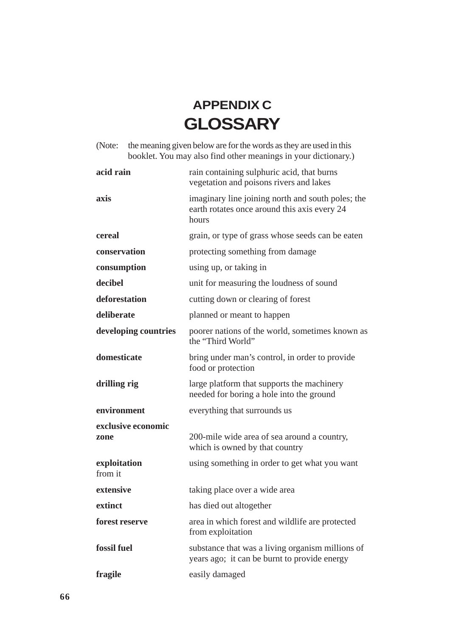# **APPENDIX C GLOSSARY**

(Note: the meaning given below are for the words as they are used in this booklet. You may also find other meanings in your dictionary.)

| acid rain                  | rain containing sulphuric acid, that burns<br>vegetation and poisons rivers and lakes                      |
|----------------------------|------------------------------------------------------------------------------------------------------------|
| axis                       | imaginary line joining north and south poles; the<br>earth rotates once around this axis every 24<br>hours |
| cereal                     | grain, or type of grass whose seeds can be eaten                                                           |
| conservation               | protecting something from damage                                                                           |
| consumption                | using up, or taking in                                                                                     |
| decibel                    | unit for measuring the loudness of sound                                                                   |
| deforestation              | cutting down or clearing of forest                                                                         |
| deliberate                 | planned or meant to happen                                                                                 |
| developing countries       | poorer nations of the world, sometimes known as<br>the "Third World"                                       |
| domesticate                | bring under man's control, in order to provide<br>food or protection                                       |
| drilling rig               | large platform that supports the machinery<br>needed for boring a hole into the ground                     |
| environment                | everything that surrounds us                                                                               |
| exclusive economic<br>zone | 200-mile wide area of sea around a country,<br>which is owned by that country                              |
| exploitation<br>from it    | using something in order to get what you want                                                              |
| extensive                  | taking place over a wide area                                                                              |
| extinct                    | has died out altogether                                                                                    |
| forest reserve             | area in which forest and wildlife are protected<br>from exploitation                                       |
| fossil fuel                | substance that was a living organism millions of<br>years ago; it can be burnt to provide energy           |
| fragile                    | easily damaged                                                                                             |